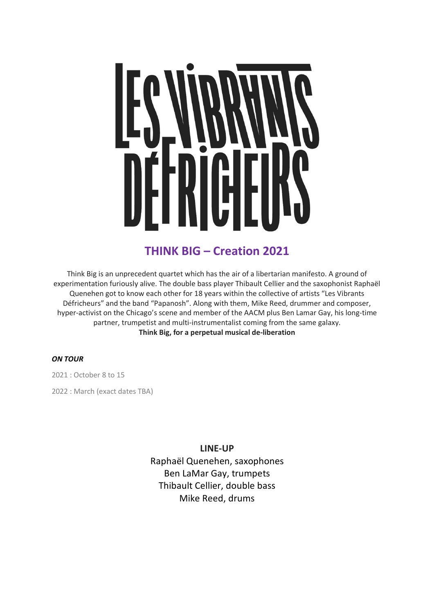

# **THINK BIG – Creation 2021**

Think Big is an unprecedent quartet which has the air of a libertarian manifesto. A ground of experimentation furiously alive. The double bass player Thibault Cellier and the saxophonist Raphaël Quenehen got to know each other for 18 years within the collective of artists "Les Vibrants Défricheurs" and the band "Papanosh". Along with them, Mike Reed, drummer and composer, hyper-activist on the Chicago's scene and member of the AACM plus Ben Lamar Gay, his long-time partner, trumpetist and multi-instrumentalist coming from the same galaxy. **Think Big, for a perpetual musical de-liberation**

## *ON TOUR*

2021 : October 8 to 15

2022 : March (exact dates TBA)

**LINE-UP** Raphaël Quenehen, saxophones Ben LaMar Gay, trumpets Thibault Cellier, double bass Mike Reed, drums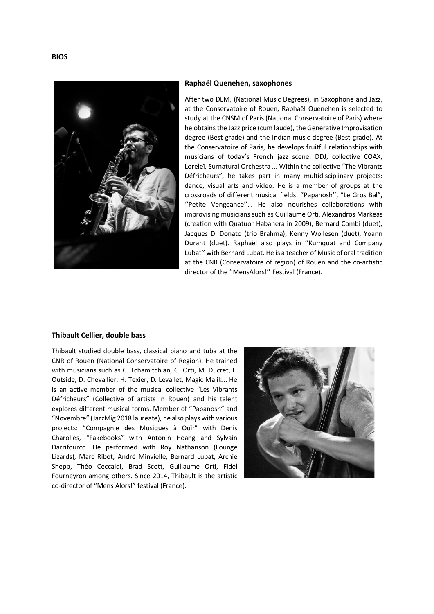

### **Raphaël Quenehen, saxophones**

After two DEM, (National Music Degrees), in Saxophone and Jazz, at the Conservatoire of Rouen, Raphaël Quenehen is selected to study at the CNSM of Paris (National Conservatoire of Paris) where he obtains the Jazz price (cum laude), the Generative Improvisation degree (Best grade) and the Indian music degree (Best grade). At the Conservatoire of Paris, he develops fruitful relationships with musicians of today's French jazz scene: DDJ, collective COAX, Loreleï, Surnatural Orchestra ... Within the collective "The Vibrants Défricheurs", he takes part in many multidisciplinary projects: dance, visual arts and video. He is a member of groups at the crossroads of different musical fields: ''Papanosh'', "Le Gros Bal", ''Petite Vengeance''… He also nourishes collaborations with improvising musicians such as Guillaume Orti, Alexandros Markeas (creation with Quatuor Habanera in 2009), Bernard Combi (duet), Jacques Di Donato (trio Brahma), Kenny Wollesen (duet), Yoann Durant (duet). Raphaël also plays in ''Kumquat and Company Lubat'' with Bernard Lubat. He is a teacher of Music of oral tradition at the CNR (Conservatoire of region) of Rouen and the co-artistic director of the ''MensAlors!'' Festival (France).

#### **Thibault Cellier, double bass**

Thibault studied double bass, classical piano and tuba at the CNR of Rouen (National Conservatoire of Region). He trained with musicians such as C. Tchamitchian, G. Orti, M. Ducret, L. Outside, D. Chevallier, H. Texier, D. Levallet, Magic Malik... He is an active member of the musical collective "Les Vibrants Défricheurs" (Collective of artists in Rouen) and his talent explores different musical forms. Member of "Papanosh" and "Novembre" (JazzMig 2018 laureate), he also plays with various projects: "Compagnie des Musiques à Ouïr" with Denis Charolles, "Fakebooks" with Antonin Hoang and Sylvain Darrifourcq. He performed with Roy Nathanson (Lounge Lizards), Marc Ribot, André Minvielle, Bernard Lubat, Archie Shepp, Théo Ceccaldi, Brad Scott, Guillaume Orti, Fidel Fourneyron among others. Since 2014, Thibault is the artistic co-director of "Mens Alors!" festival (France).